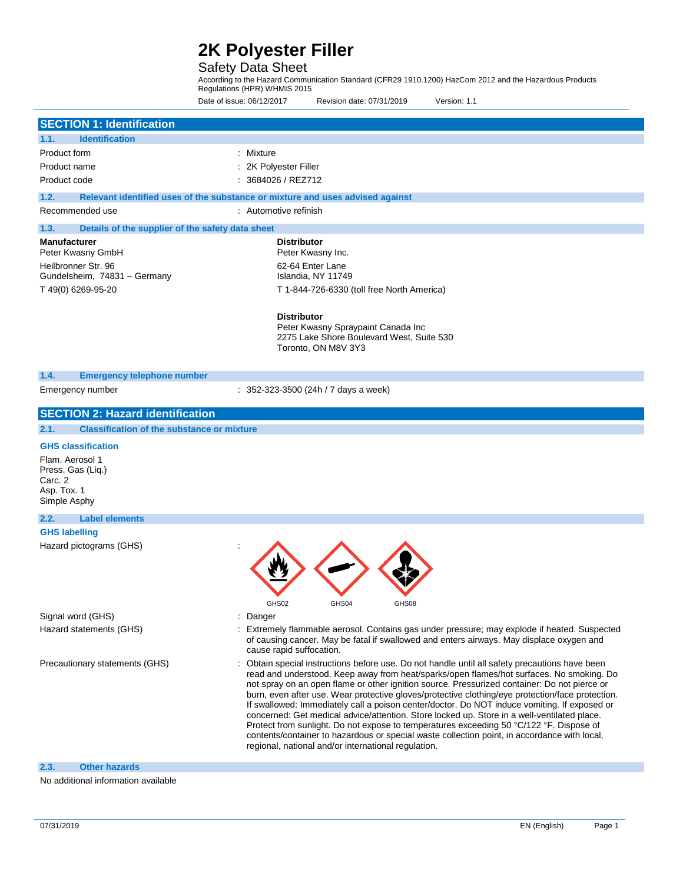### Safety Data Sheet

According to the Hazard Communication Standard (CFR29 1910.1200) HazCom 2012 and the Hazardous Products Regulations (HPR) WHMIS 2015

Date of issue: 06/12/2017 Revision date: 07/31/2019 Version: 1.1

| <b>SECTION 1: Identification</b>                          |                                                                                                                                                                                                  |  |  |  |
|-----------------------------------------------------------|--------------------------------------------------------------------------------------------------------------------------------------------------------------------------------------------------|--|--|--|
| <b>Identification</b><br>1.1.                             |                                                                                                                                                                                                  |  |  |  |
| Product form                                              | : Mixture                                                                                                                                                                                        |  |  |  |
| Product name                                              | : 2K Polyester Filler                                                                                                                                                                            |  |  |  |
| Product code                                              | : 3684026 / REZ712                                                                                                                                                                               |  |  |  |
|                                                           |                                                                                                                                                                                                  |  |  |  |
| 1.2.                                                      | Relevant identified uses of the substance or mixture and uses advised against                                                                                                                    |  |  |  |
| Recommended use                                           | : Automotive refinish                                                                                                                                                                            |  |  |  |
| 1.3.<br>Details of the supplier of the safety data sheet  |                                                                                                                                                                                                  |  |  |  |
| <b>Manufacturer</b>                                       | <b>Distributor</b>                                                                                                                                                                               |  |  |  |
| Peter Kwasny GmbH                                         | Peter Kwasny Inc.                                                                                                                                                                                |  |  |  |
| Heilbronner Str. 96                                       | 62-64 Enter Lane                                                                                                                                                                                 |  |  |  |
| Gundelsheim, 74831 - Germany                              | Islandia, NY 11749                                                                                                                                                                               |  |  |  |
| T 49(0) 6269-95-20                                        | T 1-844-726-6330 (toll free North America)                                                                                                                                                       |  |  |  |
|                                                           |                                                                                                                                                                                                  |  |  |  |
|                                                           | <b>Distributor</b>                                                                                                                                                                               |  |  |  |
|                                                           | Peter Kwasny Spraypaint Canada Inc<br>2275 Lake Shore Boulevard West, Suite 530                                                                                                                  |  |  |  |
|                                                           | Toronto, ON M8V 3Y3                                                                                                                                                                              |  |  |  |
|                                                           |                                                                                                                                                                                                  |  |  |  |
| 1.4.<br><b>Emergency telephone number</b>                 |                                                                                                                                                                                                  |  |  |  |
| Emergency number                                          | $: 352-323-3500$ (24h / 7 days a week)                                                                                                                                                           |  |  |  |
|                                                           |                                                                                                                                                                                                  |  |  |  |
| <b>SECTION 2: Hazard identification</b>                   |                                                                                                                                                                                                  |  |  |  |
| <b>Classification of the substance or mixture</b><br>2.1. |                                                                                                                                                                                                  |  |  |  |
| <b>GHS classification</b>                                 |                                                                                                                                                                                                  |  |  |  |
| Flam. Aerosol 1                                           |                                                                                                                                                                                                  |  |  |  |
| Press. Gas (Liq.)                                         |                                                                                                                                                                                                  |  |  |  |
| Carc. 2                                                   |                                                                                                                                                                                                  |  |  |  |
| Asp. Tox. 1                                               |                                                                                                                                                                                                  |  |  |  |
| Simple Asphy                                              |                                                                                                                                                                                                  |  |  |  |
| 2.2.<br><b>Label elements</b>                             |                                                                                                                                                                                                  |  |  |  |
| <b>GHS labelling</b>                                      |                                                                                                                                                                                                  |  |  |  |
| Hazard pictograms (GHS)                                   |                                                                                                                                                                                                  |  |  |  |
|                                                           |                                                                                                                                                                                                  |  |  |  |
|                                                           |                                                                                                                                                                                                  |  |  |  |
|                                                           |                                                                                                                                                                                                  |  |  |  |
|                                                           | GHS02                                                                                                                                                                                            |  |  |  |
| Signal word (GHS)                                         | GH504<br>Danger                                                                                                                                                                                  |  |  |  |
|                                                           | : Extremely flammable aerosol. Contains gas under pressure; may explode if heated. Suspected                                                                                                     |  |  |  |
| Hazard statements (GHS)                                   | of causing cancer. May be fatal if swallowed and enters airways. May displace oxygen and                                                                                                         |  |  |  |
|                                                           | cause rapid suffocation.                                                                                                                                                                         |  |  |  |
| Precautionary statements (GHS)                            | : Obtain special instructions before use. Do not handle until all safety precautions have been                                                                                                   |  |  |  |
|                                                           | read and understood. Keep away from heat/sparks/open flames/hot surfaces. No smoking. Do                                                                                                         |  |  |  |
|                                                           | not spray on an open flame or other ignition source. Pressurized container: Do not pierce or                                                                                                     |  |  |  |
|                                                           | burn, even after use. Wear protective gloves/protective clothing/eye protection/face protection.<br>If swallowed: Immediately call a poison center/doctor. Do NOT induce vomiting. If exposed or |  |  |  |
|                                                           | concerned: Get medical advice/attention. Store locked up. Store in a well-ventilated place.                                                                                                      |  |  |  |
|                                                           | Protect from sunlight. Do not expose to temperatures exceeding 50 °C/122 °F. Dispose of                                                                                                          |  |  |  |
|                                                           | contents/container to hazardous or special waste collection point, in accordance with local,                                                                                                     |  |  |  |
|                                                           | regional, national and/or international regulation.                                                                                                                                              |  |  |  |
| <b>Other hazards</b><br>2.3.                              |                                                                                                                                                                                                  |  |  |  |

No additional information available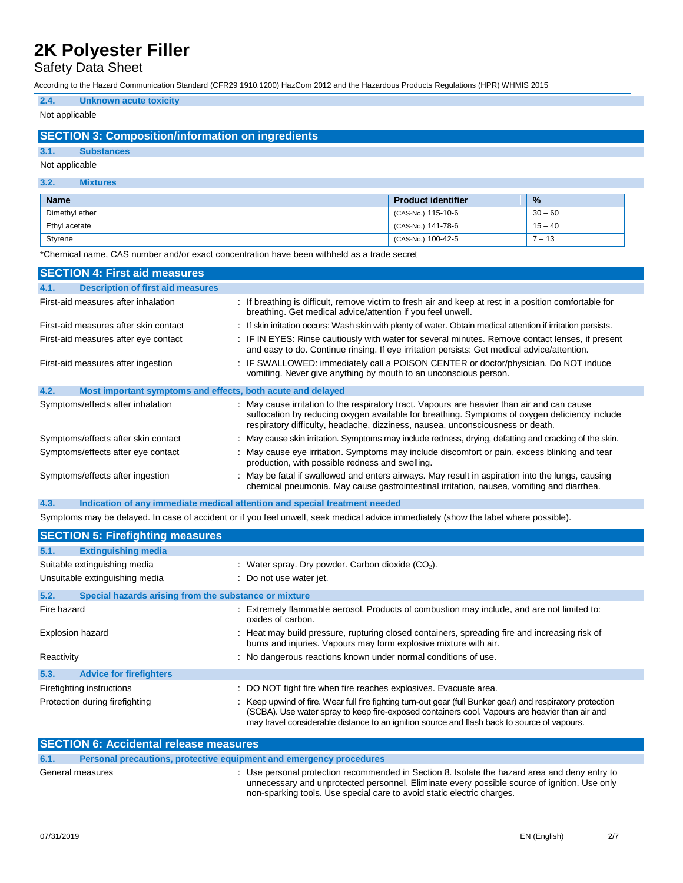## Safety Data Sheet

According to the Hazard Communication Standard (CFR29 1910.1200) HazCom 2012 and the Hazardous Products Regulations (HPR) WHMIS 2015

## **2.4. Unknown acute toxicity**

### Not applicable

### **SECTION 3: Composition/information on ingredients**

#### **3.1. Substances**

#### Not applicable

#### **3.2. Mixtures**

| <b>Name</b>    | <b>Product identifier</b>      | $\frac{9}{6}$ |
|----------------|--------------------------------|---------------|
| Dimethyl ether | $^{\prime}$ (CAS-No.) 115-10-6 | $30 - 60$     |
| Ethyl acetate  | (CAS-No.) 141-78-6             | $15 - 40$     |
| Styrene        | (CAS-No.) 100-42-5             | $-13$         |

\*Chemical name, CAS number and/or exact concentration have been withheld as a trade secret

| <b>SECTION 4: First aid measures</b>                                               |                                                                                                                                                                                                                                                                                |
|------------------------------------------------------------------------------------|--------------------------------------------------------------------------------------------------------------------------------------------------------------------------------------------------------------------------------------------------------------------------------|
| <b>Description of first aid measures</b><br>4.1.                                   |                                                                                                                                                                                                                                                                                |
| First-aid measures after inhalation                                                | : If breathing is difficult, remove victim to fresh air and keep at rest in a position comfortable for<br>breathing. Get medical advice/attention if you feel unwell.                                                                                                          |
| First-aid measures after skin contact                                              | : If skin irritation occurs: Wash skin with plenty of water. Obtain medical attention if irritation persists.                                                                                                                                                                  |
| First-aid measures after eye contact                                               | : IF IN EYES: Rinse cautiously with water for several minutes. Remove contact lenses, if present<br>and easy to do. Continue rinsing. If eye irritation persists: Get medical advice/attention.                                                                                |
| First-aid measures after ingestion                                                 | : IF SWALLOWED: immediately call a POISON CENTER or doctor/physician. Do NOT induce<br>vomiting. Never give anything by mouth to an unconscious person.                                                                                                                        |
| 4.2.<br>Most important symptoms and effects, both acute and delayed                |                                                                                                                                                                                                                                                                                |
| Symptoms/effects after inhalation                                                  | : May cause irritation to the respiratory tract. Vapours are heavier than air and can cause<br>suffocation by reducing oxygen available for breathing. Symptoms of oxygen deficiency include<br>respiratory difficulty, headache, dizziness, nausea, unconsciousness or death. |
| Symptoms/effects after skin contact                                                | : May cause skin irritation. Symptoms may include redness, drying, defatting and cracking of the skin.                                                                                                                                                                         |
| Symptoms/effects after eye contact                                                 | : May cause eye irritation. Symptoms may include discomfort or pain, excess blinking and tear<br>production, with possible redness and swelling.                                                                                                                               |
| Symptoms/effects after ingestion                                                   | : May be fatal if swallowed and enters airways. May result in aspiration into the lungs, causing<br>chemical pneumonia. May cause gastrointestinal irritation, nausea, vomiting and diarrhea.                                                                                  |
| 4.3.<br>Indication of any immediate medical attention and special treatment needed |                                                                                                                                                                                                                                                                                |

Symptoms may be delayed. In case of accident or if you feel unwell, seek medical advice immediately (show the label where possible).

| <b>SECTION 5: Firefighting measures</b> |                                                                                                                                                                                                                                                                                                             |  |  |  |  |
|-----------------------------------------|-------------------------------------------------------------------------------------------------------------------------------------------------------------------------------------------------------------------------------------------------------------------------------------------------------------|--|--|--|--|
| 5.1.<br><b>Extinguishing media</b>      |                                                                                                                                                                                                                                                                                                             |  |  |  |  |
| Suitable extinguishing media            | : Water spray. Dry powder. Carbon dioxide $(CO2)$ .                                                                                                                                                                                                                                                         |  |  |  |  |
| Unsuitable extinguishing media          | : Do not use water jet.                                                                                                                                                                                                                                                                                     |  |  |  |  |
| 5.2.                                    | Special hazards arising from the substance or mixture                                                                                                                                                                                                                                                       |  |  |  |  |
| Fire hazard                             | : Extremely flammable aerosol. Products of combustion may include, and are not limited to:<br>oxides of carbon.                                                                                                                                                                                             |  |  |  |  |
| <b>Explosion hazard</b>                 | : Heat may build pressure, rupturing closed containers, spreading fire and increasing risk of<br>burns and injuries. Vapours may form explosive mixture with air.                                                                                                                                           |  |  |  |  |
| Reactivity                              | : No dangerous reactions known under normal conditions of use.                                                                                                                                                                                                                                              |  |  |  |  |
| 5.3.<br><b>Advice for firefighters</b>  |                                                                                                                                                                                                                                                                                                             |  |  |  |  |
| Firefighting instructions               | : DO NOT fight fire when fire reaches explosives. Evacuate area.                                                                                                                                                                                                                                            |  |  |  |  |
| Protection during firefighting          | : Keep upwind of fire. Wear full fire fighting turn-out gear (full Bunker gear) and respiratory protection<br>(SCBA). Use water spray to keep fire-exposed containers cool. Vapours are heavier than air and<br>may travel considerable distance to an ignition source and flash back to source of vapours. |  |  |  |  |

| <b>SECTION 6: Accidental release measures</b> |                                                                     |                                                                                                                                                                                                                                                                         |  |
|-----------------------------------------------|---------------------------------------------------------------------|-------------------------------------------------------------------------------------------------------------------------------------------------------------------------------------------------------------------------------------------------------------------------|--|
| 6.1.                                          | Personal precautions, protective equipment and emergency procedures |                                                                                                                                                                                                                                                                         |  |
|                                               | General measures                                                    | : Use personal protection recommended in Section 8. Isolate the hazard area and deny entry to<br>unnecessary and unprotected personnel. Eliminate every possible source of ignition. Use only<br>non-sparking tools. Use special care to avoid static electric charges. |  |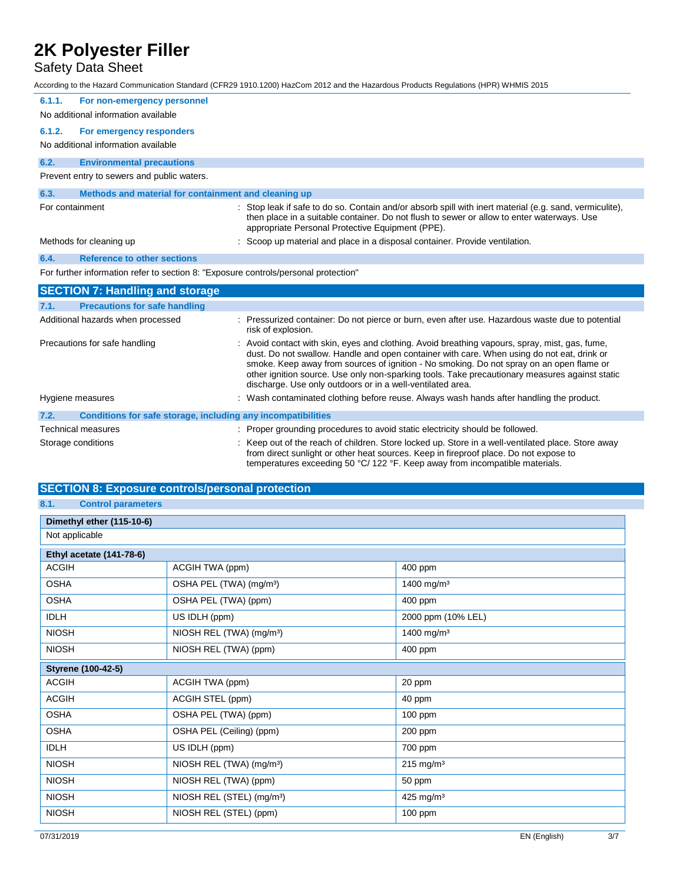## Safety Data Sheet

According to the Hazard Communication Standard (CFR29 1910.1200) HazCom 2012 and the Hazardous Products Regulations (HPR) WHMIS 2015

| 6.1.1.<br>For non-emergency personnel                                               |                                                                                                                                                                                                                                                                                                                                                                                                                                                          |
|-------------------------------------------------------------------------------------|----------------------------------------------------------------------------------------------------------------------------------------------------------------------------------------------------------------------------------------------------------------------------------------------------------------------------------------------------------------------------------------------------------------------------------------------------------|
| No additional information available                                                 |                                                                                                                                                                                                                                                                                                                                                                                                                                                          |
| 6.1.2.<br>For emergency responders                                                  |                                                                                                                                                                                                                                                                                                                                                                                                                                                          |
| No additional information available                                                 |                                                                                                                                                                                                                                                                                                                                                                                                                                                          |
| 6.2.<br><b>Environmental precautions</b>                                            |                                                                                                                                                                                                                                                                                                                                                                                                                                                          |
| Prevent entry to sewers and public waters.                                          |                                                                                                                                                                                                                                                                                                                                                                                                                                                          |
| 6.3.<br>Methods and material for containment and cleaning up                        |                                                                                                                                                                                                                                                                                                                                                                                                                                                          |
| For containment                                                                     | Stop leak if safe to do so. Contain and/or absorb spill with inert material (e.g. sand, vermiculite),<br>then place in a suitable container. Do not flush to sewer or allow to enter waterways. Use<br>appropriate Personal Protective Equipment (PPE).                                                                                                                                                                                                  |
| Methods for cleaning up                                                             | Scoop up material and place in a disposal container. Provide ventilation.                                                                                                                                                                                                                                                                                                                                                                                |
| 6.4.<br><b>Reference to other sections</b>                                          |                                                                                                                                                                                                                                                                                                                                                                                                                                                          |
| For further information refer to section 8: "Exposure controls/personal protection" |                                                                                                                                                                                                                                                                                                                                                                                                                                                          |
| <b>SECTION 7: Handling and storage</b>                                              |                                                                                                                                                                                                                                                                                                                                                                                                                                                          |
| <b>Precautions for safe handling</b><br>7.1.                                        |                                                                                                                                                                                                                                                                                                                                                                                                                                                          |
| Additional hazards when processed                                                   | : Pressurized container: Do not pierce or burn, even after use. Hazardous waste due to potential<br>risk of explosion.                                                                                                                                                                                                                                                                                                                                   |
| Precautions for safe handling                                                       | : Avoid contact with skin, eyes and clothing. Avoid breathing vapours, spray, mist, gas, fume,<br>dust. Do not swallow. Handle and open container with care. When using do not eat, drink or<br>smoke. Keep away from sources of ignition - No smoking. Do not spray on an open flame or<br>other ignition source. Use only non-sparking tools. Take precautionary measures against static<br>discharge. Use only outdoors or in a well-ventilated area. |
| Hygiene measures                                                                    | : Wash contaminated clothing before reuse. Always wash hands after handling the product.                                                                                                                                                                                                                                                                                                                                                                 |
| Conditions for safe storage, including any incompatibilities<br>7.2.                |                                                                                                                                                                                                                                                                                                                                                                                                                                                          |
| Technical measures                                                                  | Proper grounding procedures to avoid static electricity should be followed.                                                                                                                                                                                                                                                                                                                                                                              |
| Storage conditions                                                                  | Keep out of the reach of children. Store locked up. Store in a well-ventilated place. Store away<br>from direct sunlight or other heat sources. Keep in fireproof place. Do not expose to                                                                                                                                                                                                                                                                |

temperatures exceeding 50 °C/ 122 °F. Keep away from incompatible materials.

### **SECTION 8: Exposure controls/personal protection**

### **8.1. Control parameters**

| Dimethyl ether (115-10-6)       |                                       |                        |  |  |  |
|---------------------------------|---------------------------------------|------------------------|--|--|--|
| Not applicable                  |                                       |                        |  |  |  |
| <b>Ethyl acetate (141-78-6)</b> |                                       |                        |  |  |  |
| <b>ACGIH</b>                    | ACGIH TWA (ppm)                       | 400 ppm                |  |  |  |
| <b>OSHA</b>                     | OSHA PEL (TWA) (mg/m <sup>3</sup> )   | 1400 mg/m <sup>3</sup> |  |  |  |
| <b>OSHA</b>                     | OSHA PEL (TWA) (ppm)                  | 400 ppm                |  |  |  |
| <b>IDLH</b>                     | US IDLH (ppm)                         | 2000 ppm (10% LEL)     |  |  |  |
| <b>NIOSH</b>                    | NIOSH REL (TWA) (mg/m <sup>3</sup> )  | 1400 mg/m <sup>3</sup> |  |  |  |
| <b>NIOSH</b>                    | NIOSH REL (TWA) (ppm)                 | 400 ppm                |  |  |  |
| Styrene (100-42-5)              |                                       |                        |  |  |  |
| <b>ACGIH</b>                    | ACGIH TWA (ppm)                       | 20 ppm                 |  |  |  |
| <b>ACGIH</b>                    | ACGIH STEL (ppm)                      | 40 ppm                 |  |  |  |
| <b>OSHA</b>                     | OSHA PEL (TWA) (ppm)                  | $100$ ppm              |  |  |  |
| <b>OSHA</b>                     | OSHA PEL (Ceiling) (ppm)              | 200 ppm                |  |  |  |
| <b>IDLH</b>                     | US IDLH (ppm)                         | 700 ppm                |  |  |  |
| <b>NIOSH</b>                    | NIOSH REL (TWA) (mg/m <sup>3</sup> )  | $215 \text{ mg/m}^3$   |  |  |  |
| <b>NIOSH</b>                    | NIOSH REL (TWA) (ppm)                 | 50 ppm                 |  |  |  |
| <b>NIOSH</b>                    | NIOSH REL (STEL) (mg/m <sup>3</sup> ) | 425 mg/m <sup>3</sup>  |  |  |  |
| <b>NIOSH</b>                    | NIOSH REL (STEL) (ppm)                | 100 ppm                |  |  |  |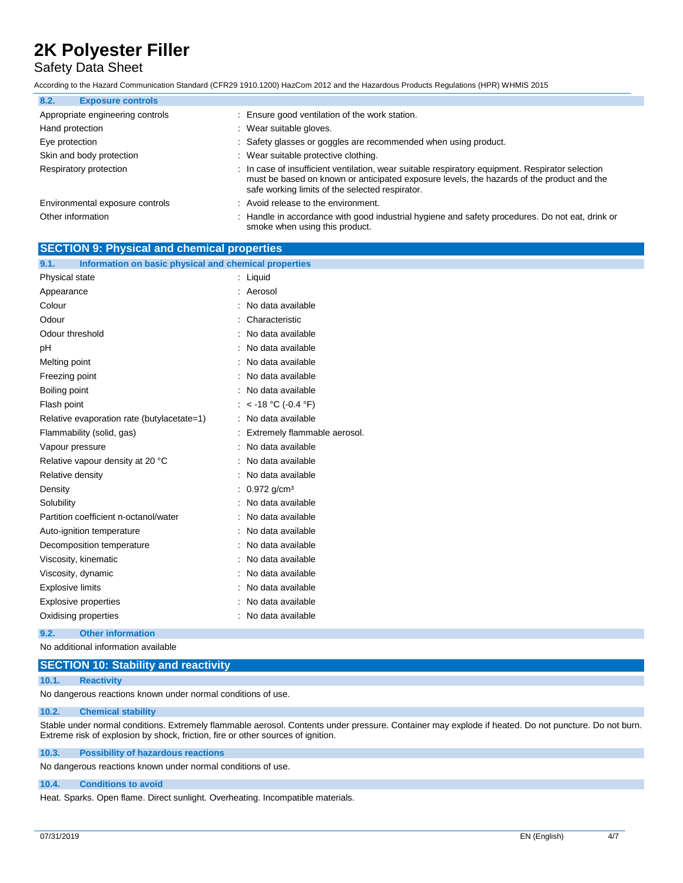**SECTION 9: Physical and chemical properties**

## Safety Data Sheet

According to the Hazard Communication Standard (CFR29 1910.1200) HazCom 2012 and the Hazardous Products Regulations (HPR) WHMIS 2015

| 8.2.<br><b>Exposure controls</b> |                                                                                                                                                                                                                                                  |
|----------------------------------|--------------------------------------------------------------------------------------------------------------------------------------------------------------------------------------------------------------------------------------------------|
| Appropriate engineering controls | : Ensure good ventilation of the work station.                                                                                                                                                                                                   |
| Hand protection                  | : Wear suitable gloves.                                                                                                                                                                                                                          |
| Eye protection                   | : Safety glasses or goggles are recommended when using product.                                                                                                                                                                                  |
| Skin and body protection         | : Wear suitable protective clothing.                                                                                                                                                                                                             |
| Respiratory protection           | : In case of insufficient ventilation, wear suitable respiratory equipment. Respirator selection<br>must be based on known or anticipated exposure levels, the hazards of the product and the<br>safe working limits of the selected respirator. |
| Environmental exposure controls  | : Avoid release to the environment.                                                                                                                                                                                                              |
| Other information                | : Handle in accordance with good industrial hygiene and safety procedures. Do not eat, drink or<br>smoke when using this product.                                                                                                                |

| Information on basic physical and chemical properties<br>9.1. |                              |
|---------------------------------------------------------------|------------------------------|
| Physical state                                                | $:$ Liquid                   |
| Appearance                                                    | : Aerosol                    |
| Colour                                                        | No data available<br>÷       |
| Odour                                                         | Characteristic               |
| Odour threshold                                               | : No data available          |
| pH                                                            | No data available            |
| Melting point                                                 | No data available            |
| Freezing point                                                | : No data available          |
| Boiling point                                                 | : No data available          |
| Flash point                                                   | : $<$ -18 °C (-0.4 °F)       |
| Relative evaporation rate (butylacetate=1)                    | No data available            |
| Flammability (solid, gas)                                     | Extremely flammable aerosol. |
| Vapour pressure                                               | No data available            |
| Relative vapour density at 20 °C                              | No data available            |
| Relative density                                              | : No data available          |
| Density                                                       | $0.972$ g/cm <sup>3</sup>    |
| Solubility                                                    | No data available            |
| Partition coefficient n-octanol/water                         | No data available            |
| Auto-ignition temperature                                     | No data available            |
| Decomposition temperature                                     | : No data available          |
| Viscosity, kinematic                                          | No data available            |
| Viscosity, dynamic                                            | No data available            |
| <b>Explosive limits</b>                                       | No data available            |
| <b>Explosive properties</b>                                   | No data available            |
| Oxidising properties                                          | : No data available          |
|                                                               |                              |

#### **9.2. Other information**

No additional information available

#### **SECTION 10: Stability and reactivity**

#### **10.1. Reactivity**

No dangerous reactions known under normal conditions of use.

#### **10.2. Chemical stability**

Stable under normal conditions. Extremely flammable aerosol. Contents under pressure. Container may explode if heated. Do not puncture. Do not burn. Extreme risk of explosion by shock, friction, fire or other sources of ignition.

#### **10.3. Possibility of hazardous reactions**

No dangerous reactions known under normal conditions of use.

#### **10.4. Conditions to avoid**

Heat. Sparks. Open flame. Direct sunlight. Overheating. Incompatible materials.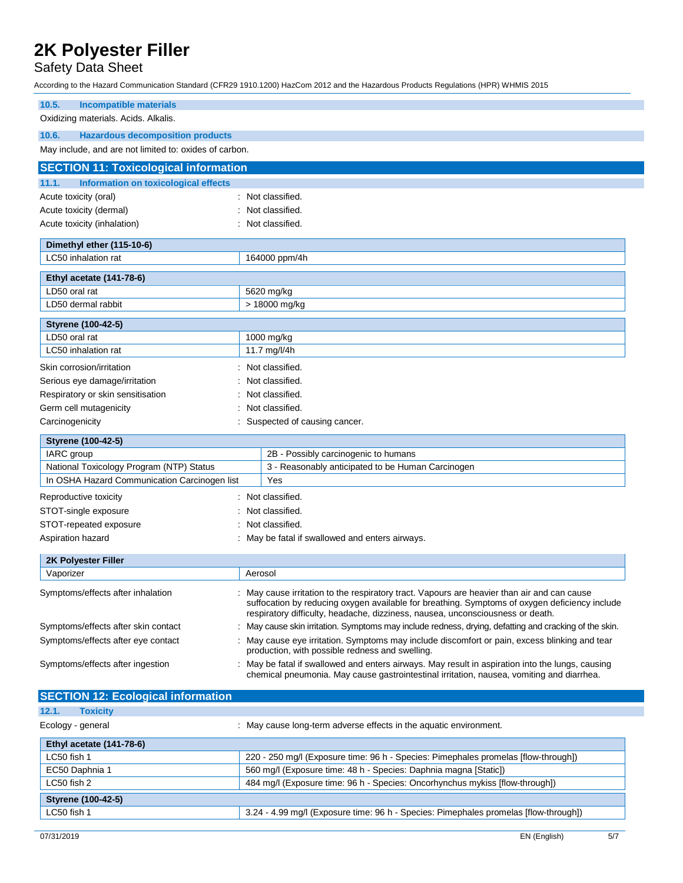## Safety Data Sheet

According to the Hazard Communication Standard (CFR29 1910.1200) HazCom 2012 and the Hazardous Products Regulations (HPR) WHMIS 2015

| 10.5.<br><b>Incompatible materials</b>                                                   |                                                                                                                                                                                               |                                                                                                                                                                                                                                                                              |  |
|------------------------------------------------------------------------------------------|-----------------------------------------------------------------------------------------------------------------------------------------------------------------------------------------------|------------------------------------------------------------------------------------------------------------------------------------------------------------------------------------------------------------------------------------------------------------------------------|--|
| Oxidizing materials. Acids. Alkalis.                                                     |                                                                                                                                                                                               |                                                                                                                                                                                                                                                                              |  |
| 10.6.<br><b>Hazardous decomposition products</b>                                         |                                                                                                                                                                                               |                                                                                                                                                                                                                                                                              |  |
| May include, and are not limited to: oxides of carbon.                                   |                                                                                                                                                                                               |                                                                                                                                                                                                                                                                              |  |
| <b>SECTION 11: Toxicological information</b>                                             |                                                                                                                                                                                               |                                                                                                                                                                                                                                                                              |  |
| <b>Information on toxicological effects</b><br>11.1.                                     |                                                                                                                                                                                               |                                                                                                                                                                                                                                                                              |  |
| Acute toxicity (oral)                                                                    |                                                                                                                                                                                               | : Not classified.                                                                                                                                                                                                                                                            |  |
| Acute toxicity (dermal)                                                                  |                                                                                                                                                                                               | : Not classified.                                                                                                                                                                                                                                                            |  |
| Acute toxicity (inhalation)                                                              |                                                                                                                                                                                               | : Not classified.                                                                                                                                                                                                                                                            |  |
|                                                                                          |                                                                                                                                                                                               |                                                                                                                                                                                                                                                                              |  |
| Dimethyl ether (115-10-6)                                                                |                                                                                                                                                                                               |                                                                                                                                                                                                                                                                              |  |
| LC50 inhalation rat                                                                      |                                                                                                                                                                                               | 164000 ppm/4h                                                                                                                                                                                                                                                                |  |
| Ethyl acetate (141-78-6)                                                                 |                                                                                                                                                                                               |                                                                                                                                                                                                                                                                              |  |
| LD50 oral rat                                                                            |                                                                                                                                                                                               | 5620 mg/kg                                                                                                                                                                                                                                                                   |  |
| LD50 dermal rabbit                                                                       |                                                                                                                                                                                               | > 18000 mg/kg                                                                                                                                                                                                                                                                |  |
| <b>Styrene (100-42-5)</b>                                                                |                                                                                                                                                                                               |                                                                                                                                                                                                                                                                              |  |
| LD50 oral rat                                                                            |                                                                                                                                                                                               | 1000 mg/kg                                                                                                                                                                                                                                                                   |  |
| LC50 inhalation rat                                                                      |                                                                                                                                                                                               | 11.7 mg/l/4h                                                                                                                                                                                                                                                                 |  |
| Skin corrosion/irritation                                                                |                                                                                                                                                                                               | : Not classified.                                                                                                                                                                                                                                                            |  |
| Serious eye damage/irritation                                                            |                                                                                                                                                                                               | Not classified.                                                                                                                                                                                                                                                              |  |
| Respiratory or skin sensitisation                                                        |                                                                                                                                                                                               | Not classified.                                                                                                                                                                                                                                                              |  |
| Germ cell mutagenicity                                                                   |                                                                                                                                                                                               | Not classified.                                                                                                                                                                                                                                                              |  |
| Carcinogenicity                                                                          |                                                                                                                                                                                               | Suspected of causing cancer.                                                                                                                                                                                                                                                 |  |
|                                                                                          |                                                                                                                                                                                               |                                                                                                                                                                                                                                                                              |  |
| <b>Styrene (100-42-5)</b>                                                                |                                                                                                                                                                                               |                                                                                                                                                                                                                                                                              |  |
| IARC group                                                                               |                                                                                                                                                                                               | 2B - Possibly carcinogenic to humans                                                                                                                                                                                                                                         |  |
| National Toxicology Program (NTP) Status<br>In OSHA Hazard Communication Carcinogen list |                                                                                                                                                                                               | 3 - Reasonably anticipated to be Human Carcinogen<br>Yes                                                                                                                                                                                                                     |  |
|                                                                                          |                                                                                                                                                                                               |                                                                                                                                                                                                                                                                              |  |
| Reproductive toxicity                                                                    |                                                                                                                                                                                               | : Not classified.                                                                                                                                                                                                                                                            |  |
| STOT-single exposure                                                                     | : Not classified.                                                                                                                                                                             |                                                                                                                                                                                                                                                                              |  |
| STOT-repeated exposure<br>: Not classified.                                              |                                                                                                                                                                                               |                                                                                                                                                                                                                                                                              |  |
| Aspiration hazard                                                                        |                                                                                                                                                                                               | : May be fatal if swallowed and enters airways.                                                                                                                                                                                                                              |  |
| 2K Polyester Filler                                                                      |                                                                                                                                                                                               |                                                                                                                                                                                                                                                                              |  |
| Vaporizer                                                                                |                                                                                                                                                                                               | Aerosol                                                                                                                                                                                                                                                                      |  |
| Symptoms/effects after inhalation                                                        |                                                                                                                                                                                               | May cause irritation to the respiratory tract. Vapours are heavier than air and can cause<br>suffocation by reducing oxygen available for breathing. Symptoms of oxygen deficiency include<br>respiratory difficulty, headache, dizziness, nausea, unconsciousness or death. |  |
| Symptoms/effects after skin contact                                                      |                                                                                                                                                                                               | : May cause skin irritation. Symptoms may include redness, drying, defatting and cracking of the skin.                                                                                                                                                                       |  |
| Symptoms/effects after eye contact                                                       | : May cause eye irritation. Symptoms may include discomfort or pain, excess blinking and tear<br>production, with possible redness and swelling.                                              |                                                                                                                                                                                                                                                                              |  |
| Symptoms/effects after ingestion                                                         | : May be fatal if swallowed and enters airways. May result in aspiration into the lungs, causing<br>chemical pneumonia. May cause gastrointestinal irritation, nausea, vomiting and diarrhea. |                                                                                                                                                                                                                                                                              |  |
| <b>SECTION 12: Ecological information</b>                                                |                                                                                                                                                                                               |                                                                                                                                                                                                                                                                              |  |
| 12.1.<br><b>Toxicity</b>                                                                 |                                                                                                                                                                                               |                                                                                                                                                                                                                                                                              |  |
| Ecology - general                                                                        |                                                                                                                                                                                               | : May cause long-term adverse effects in the aquatic environment.                                                                                                                                                                                                            |  |
| Ethyl acetate (141-78-6)                                                                 |                                                                                                                                                                                               |                                                                                                                                                                                                                                                                              |  |
| LC50 fish 1                                                                              |                                                                                                                                                                                               | 220 - 250 mg/l (Exposure time: 96 h - Species: Pimephales promelas [flow-through])                                                                                                                                                                                           |  |
| EC50 Daphnia 1                                                                           | 560 mg/l (Exposure time: 48 h - Species: Daphnia magna [Static])                                                                                                                              |                                                                                                                                                                                                                                                                              |  |
| LC50 fish 2                                                                              |                                                                                                                                                                                               | 484 mg/l (Exposure time: 96 h - Species: Oncorhynchus mykiss [flow-through])                                                                                                                                                                                                 |  |
| <b>Styrene (100-42-5)</b>                                                                |                                                                                                                                                                                               |                                                                                                                                                                                                                                                                              |  |
| LC50 fish 1                                                                              |                                                                                                                                                                                               | 3.24 - 4.99 mg/l (Exposure time: 96 h - Species: Pimephales promelas [flow-through])                                                                                                                                                                                         |  |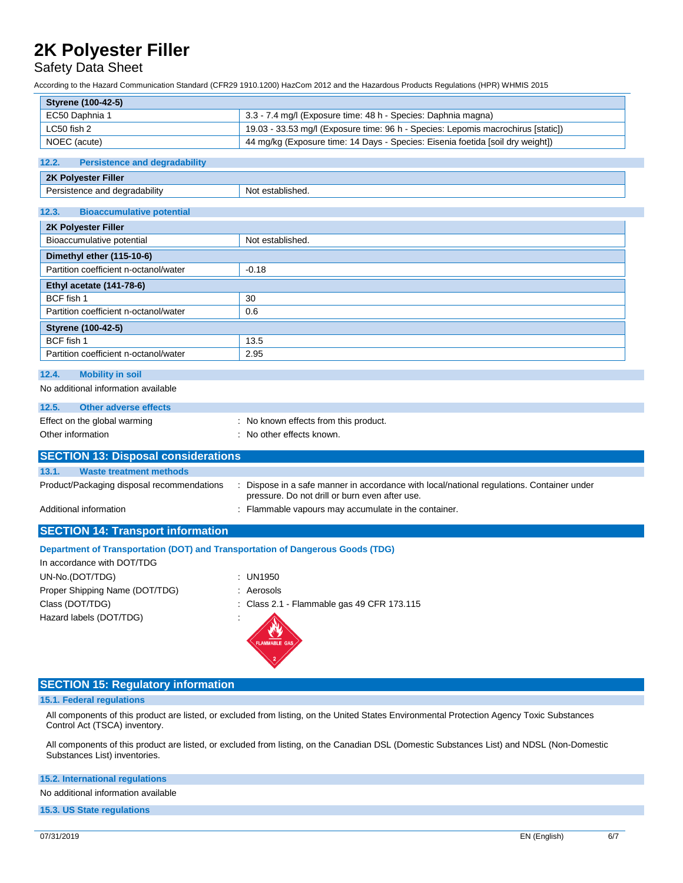### Safety Data Sheet

According to the Hazard Communication Standard (CFR29 1910.1200) HazCom 2012 and the Hazardous Products Regulations (HPR) WHMIS 2015

| <b>Styrene (100-42-5)</b>                                                      |                                                                                                                                             |  |  |  |  |
|--------------------------------------------------------------------------------|---------------------------------------------------------------------------------------------------------------------------------------------|--|--|--|--|
| EC50 Daphnia 1                                                                 | 3.3 - 7.4 mg/l (Exposure time: 48 h - Species: Daphnia magna)                                                                               |  |  |  |  |
| LC50 fish 2                                                                    | 19.03 - 33.53 mg/l (Exposure time: 96 h - Species: Lepomis macrochirus [static])                                                            |  |  |  |  |
| NOEC (acute)                                                                   | 44 mg/kg (Exposure time: 14 Days - Species: Eisenia foetida [soil dry weight])                                                              |  |  |  |  |
| <b>Persistence and degradability</b><br>12.2.                                  |                                                                                                                                             |  |  |  |  |
| 2K Polyester Filler                                                            |                                                                                                                                             |  |  |  |  |
| Persistence and degradability                                                  | Not established.                                                                                                                            |  |  |  |  |
|                                                                                |                                                                                                                                             |  |  |  |  |
| <b>Bioaccumulative potential</b><br>12.3.                                      |                                                                                                                                             |  |  |  |  |
| 2K Polyester Filler                                                            |                                                                                                                                             |  |  |  |  |
| Bioaccumulative potential                                                      | Not established.                                                                                                                            |  |  |  |  |
| Dimethyl ether (115-10-6)                                                      |                                                                                                                                             |  |  |  |  |
| Partition coefficient n-octanol/water                                          | $-0.18$                                                                                                                                     |  |  |  |  |
| Ethyl acetate (141-78-6)                                                       |                                                                                                                                             |  |  |  |  |
| BCF fish 1                                                                     | 30                                                                                                                                          |  |  |  |  |
| Partition coefficient n-octanol/water                                          | 0.6                                                                                                                                         |  |  |  |  |
| <b>Styrene (100-42-5)</b>                                                      |                                                                                                                                             |  |  |  |  |
| BCF fish 1                                                                     | 13.5                                                                                                                                        |  |  |  |  |
| Partition coefficient n-octanol/water                                          | 2.95                                                                                                                                        |  |  |  |  |
| 12.4.<br><b>Mobility in soil</b>                                               |                                                                                                                                             |  |  |  |  |
| No additional information available                                            |                                                                                                                                             |  |  |  |  |
|                                                                                |                                                                                                                                             |  |  |  |  |
| <b>Other adverse effects</b><br>12.5.                                          |                                                                                                                                             |  |  |  |  |
| Effect on the global warming<br>Other information                              | : No known effects from this product.<br>: No other effects known.                                                                          |  |  |  |  |
|                                                                                |                                                                                                                                             |  |  |  |  |
| <b>SECTION 13: Disposal considerations</b>                                     |                                                                                                                                             |  |  |  |  |
| 13.1.<br><b>Waste treatment methods</b>                                        |                                                                                                                                             |  |  |  |  |
| Product/Packaging disposal recommendations                                     | : Dispose in a safe manner in accordance with local/national regulations. Container under<br>pressure. Do not drill or burn even after use. |  |  |  |  |
| Additional information                                                         | : Flammable vapours may accumulate in the container.                                                                                        |  |  |  |  |
|                                                                                |                                                                                                                                             |  |  |  |  |
| <b>SECTION 14: Transport information</b>                                       |                                                                                                                                             |  |  |  |  |
| Department of Transportation (DOT) and Transportation of Dangerous Goods (TDG) |                                                                                                                                             |  |  |  |  |
| In accordance with DOT/TDG                                                     |                                                                                                                                             |  |  |  |  |
| UN-No.(DOT/TDG)                                                                | : UN1950                                                                                                                                    |  |  |  |  |
| Proper Shipping Name (DOT/TDG)                                                 | : Aerosols                                                                                                                                  |  |  |  |  |
| Class (DOT/TDG)                                                                | : Class 2.1 - Flammable gas 49 CFR 173.115                                                                                                  |  |  |  |  |
| Hazard labels (DOT/TDG)                                                        | AMMABLE GAS                                                                                                                                 |  |  |  |  |
| <b>SECTION 15: Regulatory information</b>                                      |                                                                                                                                             |  |  |  |  |

#### **15.1. Federal regulations**

All components of this product are listed, or excluded from listing, on the United States Environmental Protection Agency Toxic Substances Control Act (TSCA) inventory.

All components of this product are listed, or excluded from listing, on the Canadian DSL (Domestic Substances List) and NDSL (Non-Domestic Substances List) inventories.

#### **15.2. International regulations**

No additional information available

**15.3. US State regulations**